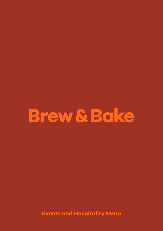# **Brew & Bake**

**Events and Hospitality Menu**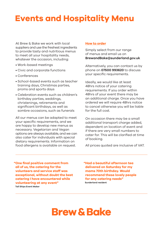### **Events and Hospitality Menu**

At Brew & Bake we work with local suppliers and use the freshest ingredients to provide tasty and nutritious menus to meet all your hospitality needs, whatever the occasion, including:

- Work-based meetings
- Civic and corporate functions
- Conferences
- School-based events such as teacher training days, Christmas parties, proms and sports days
- Celebration events such as children's birthday parties, weddings, christenings, retirements and significant birthdays, as well as sombre occasions, such as funerals

All our menus can be adapted to meet your specific requirements, and we are happy to develop new menus as necessary. Vegetarian and Vegan options are always available, and we can also cater for individuals with special dietary requirements. Information on food allergens is available on request.

#### **How to order**

Simply select from our range of menus and email us on **BrewandBake@sunderland.gov.uk**

Alternatively, you can contact us by phone on **07500 993620** to discuss your specific requirements.

Ideally, we would like at least 48hrs notice of your catering requirements. If you order within 48hrs of your event there may be an additional charge. Once you have ordered we will require 48hrs notice to cancel otherwise you will be liable for the full cost.

On occasion there may be a small additional transport charge added, dependent on location of event and if there are very small numbers to cater for. This will be clarified at time of booking.

All prices quoted are inclusive of VAT.

**"One final positive comment from all of us, the catering for the volunteers and service staff was exceptional, without doubt the best catering I have encountered while volunteering at any event" Tall Ships Event Maker**

**"Had a beautiful afternoon tea delivered on Saturday for my mams 70th birthday. Would recommend these lovely people for any catering needs" Sunderland resident**

## **Brew & Bake**